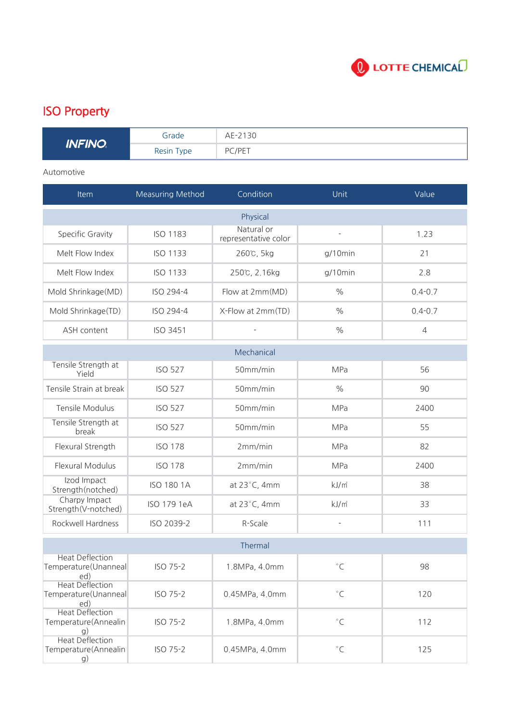

## ISO Property

| <b>INFINO</b> | Grade      | AE-2130 |
|---------------|------------|---------|
|               | Resin Type | PC/PET  |

## Automotive

| Item                                                  | <b>Measuring Method</b> | Condition                          | Unit                     | Value          |
|-------------------------------------------------------|-------------------------|------------------------------------|--------------------------|----------------|
|                                                       |                         | Physical                           |                          |                |
| Specific Gravity                                      | <b>ISO 1183</b>         | Natural or<br>representative color | $\overline{\phantom{m}}$ | 1.23           |
| Melt Flow Index                                       | <b>ISO 1133</b>         | 260℃, 5kg                          | g/10min                  | 21             |
| Melt Flow Index                                       | <b>ISO 1133</b>         | 250℃, 2.16kg                       | $g/10$ min               | 2.8            |
| Mold Shrinkage(MD)                                    | ISO 294-4               | Flow at 2mm(MD)                    | $\%$                     | $0.4 - 0.7$    |
| Mold Shrinkage(TD)                                    | ISO 294-4               | X-Flow at 2mm(TD)                  | $\frac{0}{0}$            | $0.4 - 0.7$    |
| ASH content                                           | <b>ISO 3451</b>         | ÷,                                 | $\frac{0}{0}$            | $\overline{4}$ |
|                                                       |                         | Mechanical                         |                          |                |
| Tensile Strength at<br>Yield                          | <b>ISO 527</b>          | 50mm/min                           | MPa                      | 56             |
| Tensile Strain at break                               | <b>ISO 527</b>          | 50mm/min                           | $\frac{0}{0}$            | 90             |
| Tensile Modulus                                       | <b>ISO 527</b>          | 50mm/min                           | MPa                      | 2400           |
| Tensile Strength at<br>break                          | <b>ISO 527</b>          | 50mm/min                           | MPa                      | 55             |
| Flexural Strength                                     | <b>ISO 178</b>          | 2mm/min                            | MPa                      | 82             |
| Flexural Modulus                                      | <b>ISO 178</b>          | 2mm/min                            | MPa                      | 2400           |
| Izod Impact<br>Strength(notched)                      | <b>ISO 180 1A</b>       | at 23°C, 4mm                       | kJ/m <sup>2</sup>        | 38             |
| Charpy Impact<br>Strength(V-notched)                  | ISO 179 1eA             | at 23°C, 4mm                       | kJ/m <sup>2</sup>        | 33             |
| Rockwell Hardness                                     | ISO 2039-2              | R-Scale                            | ÷,                       | 111            |
|                                                       |                         | Thermal                            |                          |                |
| <b>Heat Deflection</b><br>Temperature(Unanneal<br>ed) | ISO 75-2                | 1.8MPa, 4.0mm                      | $^{\circ}$ C             | 98             |
| <b>Heat Deflection</b><br>Temperature(Unanneal<br>ed) | ISO 75-2                | 0.45MPa, 4.0mm                     | $^\circ\mathsf{C}$       | 120            |
| <b>Heat Deflection</b><br>Temperature(Annealin<br>g)  | ISO 75-2                | 1.8MPa, 4.0mm                      | $^\circ\mathsf{C}$       | 112            |
| <b>Heat Deflection</b><br>Temperature(Annealin<br>g)  | ISO 75-2                | 0.45MPa, 4.0mm                     | $^{\circ}{\sf C}$        | 125            |